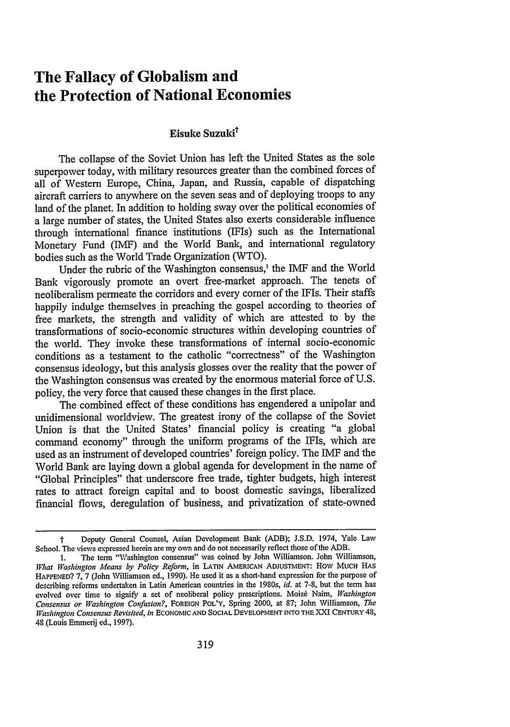## **The Fallacy of Globalism and the Protection of National Economies**

## Eisuke **Suzukit**

The collapse of the Soviet Union has left the United States as the sole superpower today, with military resources greater than the combined forces of all of Western Europe, China, Japan, and Russia, capable of dispatching aircraft carriers to anywhere on the seven seas and of deploying troops to any land of the planet. In addition to holding sway over the political economies of a large number of states, the United States also exerts considerable influence through international finance institutions (IFIs) such as the International Monetary Fund (IMF) and the World Bank, and international regulatory bodies such as the World Trade Organization (WTO).

Under the rubric of the Washington consensus,' the IMF and the World Bank vigorously promote an overt free-market approach. The tenets of neoliberalism permeate the corridors and every comer of the IFIs. Their staffs happily indulge themselves in preaching the gospel according to theories of free markets, the strength and validity of which are attested to by the transformations of socio-economic structures within developing countries of the world. They invoke these transformations of internal socio-economic conditions as a testament to the catholic "correctness" of the Washington consensus ideology, but this analysis glosses over the reality that the power of the Washington consensus was created by the enormous material force of U.S. policy, the very force that caused these changes in the first place.

The combined effect of these conditions has engendered a unipolar and unidimensional worldview. The greatest irony of the collapse of the Soviet Union is that the United States' financial policy is creating "a global command economy" through the uniform programs of the IFIs, which are used as an instrument of developed countries' foreign policy. The IMF and the World Bank are laying down a global agenda for development in the name of "Global Principles" that underscore free trade, tighter budgets, high interest rates to attract foreign capital and to boost domestic savings, liberalized financial flows, deregulation of business, and privatization of state-owned

t Deputy General Counsel, Asian Development Bank (ADB); J.S.D. 1974, Yale Law School. The views expressed herein are my own and do not necessarily reflect those of the ADB.

<sup>1.</sup> The term "Washington consensus" was coined by John Williamson. John Williamson, *Vat Washington Means by Policy Reform,* in LATIN **AMERICAN** ADJUSTMENT: How MUCH HAS HAPPENED? 7, 7 (John Williamson ed., 1990). He used it as a short-hand expression for the purpose of describing reforms undertaken in Latin American countries in the 1980s, *id.* at 7-8, but the term has evolved over time to signify a set of neoliberal policy prescriptions. Mois6 Naim, *Washington Consensus or Washington Conifusion?,* FOREIGN POL'Y, Spring 2000, at 87; John Williamson, *The Washington Consensus Revisited, in* **ECONOMIC AND SOCIAL DEVELOPMENT INTO** THE XXI CENTURY 48, 48 (Louis Emmerij ed., 1997).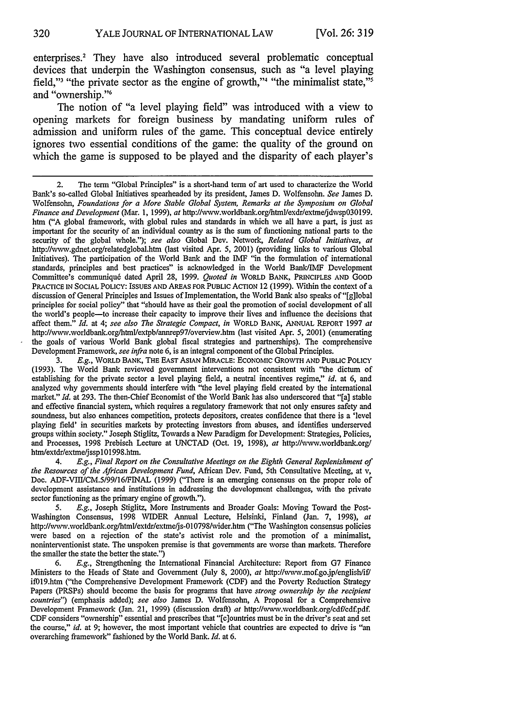enterprises.2 They have also introduced several problematic conceptual devices that underpin the Washington consensus, such as "a level playing field," "the private sector as the engine of growth," "the minimalist state," and "ownership."<sup>6</sup>

The notion of "a level playing field" was introduced with a view to opening markets for foreign business by mandating uniform rules of admission and uniform rules of the game. This conceptual device entirely ignores two essential conditions of the game: the quality of the ground on which the game is supposed to be played and the disparity of each player's

3. E.g., WORLD BANK, THE EAST ASIAN MIRACLE: ECONOMIC GROWTH AND PUBLIC POLICY (1993). The World Bank reviewed government interventions not consistent with "the dictum of establishing for the private sector a level playing field, a neutral incentives regime," *id.* at 6, and analyzed why governments should interfere with "the level playing field created by the international market." *Id.* at 293. The then-Chief Economist of the World Bank has also underscored that "[a) stable and effective financial system, which requires a regulatory framework that not only ensures safety and soundness, but also enhances competition, protects depositors, creates confidence that there is a 'level playing field' in securities markets by protecting investors from abuses, and identifies underserved groups within society." Joseph Stiglitz, Towards a New Paradigm for Development: Strategies, Policies, and Processes, 1998 Prebisch Lecture at UNCTAD (Oct. 19, 1998), at http://www.worldbank.org/ htm/extdr/extme/jssplO 998.htm.

4. *E.g., Final Report on the Consultative Meetings on the Eighth General Replenishment of the Resources of the African Development Fund,* African Dev. Fund, 5th Consultative Meeting, at v, Doc. ADF-VIII/CM.5/99/16/FINAL (1999) ("There is an emerging consensus on the proper role of development assistance and institutions in addressing the development challenges, with the private sector functioning as the primary engine of growth.").

*5. E.g.,* Joseph Stiglitz, More Instruments and Broader Goals: Moving Toward the Post-Washington Consensus, 1998 WIDER Annual Lecture, Helsinki, Finland (Jan. 7, 1998), *at* http:l/vwv.worldbank.orglhtml/extdrlextme/js-Ol0798vider.htm ("The Washington consensus policies were based on a rejection of the state's activist role and the promotion of a minimalist, noninterventionist state. The unspoken premise is that governments are worse than markets. Therefore the smaller the state the better the state.")

6. *E.g.,* Strengthening the International Financial Architecture: Report from G7 Finance Ministers to the Heads of State and Government (July 8, 2000), at http://www.mof.go.jp/english/if/ ifDl9.htm ("the Comprehensive Development Framework (CDF) and the Poverty Reduction Strategy Papers (PRSPs) should become the basis for programs that have *strong ownership by the recipient countries")* (emphasis added); *see also* James D. Wolfensohn, A Proposal for a Comprehensive Development Framework (Jan. 21, 1999) (discussion draft) at http://www.worldbank.org/cdf/cdf.pdf. CDF considers "ownership" essential and prescribes that "[c]ountries must be in the driver's seat and set the course," *id.* at 9; however, the most important vehicle that countries are expected to drive is "an overarching framework" fashioned by the World Bank. *Id.* at 6.

<sup>2.</sup> The term "Global Principles" is a short-hand term of art used to characterize the World Bank's so-called Global Initiatives spearheaded by its president, James D. Wolfensohn. *See* James *D.* Wolfensohn, *Foundations for a More Stable Global System, Remarks at the Symposium on Global Finance and Development* (Mar. 1, 1999), at http://vww.worldbank.org/html/exdr/extme/jdwspO3O199. htm ("A global framework, with global rules and standards in which we all have a part, is just as important for the security of an individual country as is the sum of functioning national parts to the security of the global whole."); *see also* Global Dev. Network, *Related Global Initiatives, at* http://www.gdnet.org/relatedglobal.htm (last visited Apr. 5, 2001) (providing links to various Global Initiatives). The participation of the World Bank and the IMF "in the formulation of international standards, principles and best practices" is acknowledged in the World Bank/IMF Development Committee's communiqu6 dated April 28, 1999. *Quoted in* WORLD BANK, PRINCIPLES AND GOOD PRACTICE IN SOCIAL POLICY: ISSUES AND AREAS FOR PUBLIC ACTION 12 (1999). Within the context of a discussion of General Principles and Issues of Implementation, the World Bank also speaks of"[g]lobal principles for social policy" that "should have as their goal the promotion of social development of all the world's people-to increase their capacity to improve their lives and influence the decisions that affect them." *Id.* at 4; *see also The Strategic Compact, in* WORLD BANK, ANNUAL REPORT 1997 *at* http://www.worldbank.org/html/extpb/annrep97/overview.htm (last visited Apr. 5, 2001) (enumerating the goals of various World Bank global fiscal strategies and partnerships). The comprehensive Development Framework, *see infra* note 6, is an integral component of the Global Principles.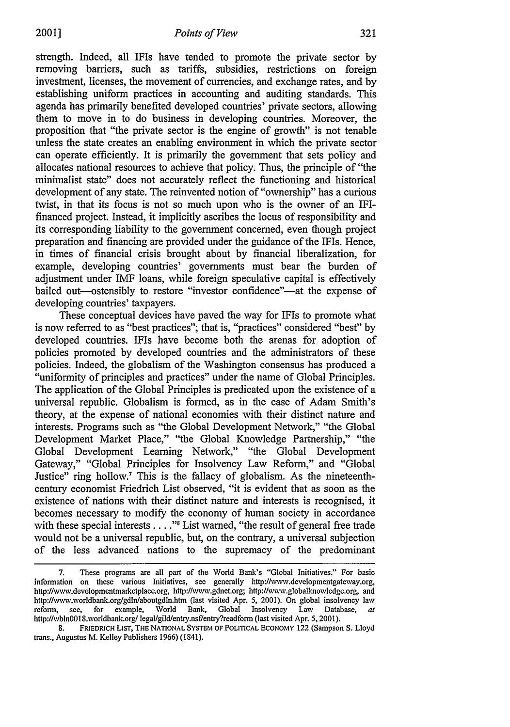strength. Indeed, all IFIs have tended to promote the private sector by removing barriers, such as tariffs, subsidies, restrictions on foreign investment, licenses, the movement of currencies, and exchange rates, and by establishing uniform practices in accounting and auditing standards. This agenda has primarily benefited developed countries' private sectors, allowing them to move in to do business in developing countries. Moreover, the proposition that "the private sector is the engine of growth", is not tenable unless the state creates an enabling environment in which the private sector can operate efficiently. It is primarily the government that sets policy and allocates national resources to achieve that policy. Thus, the principle of "the minimalist state" does not accurately reflect the functioning and historical development of any state. The reinvented notion of "ownership" has a curious twist, in that its focus is not so much upon who is the owner of an IFIfinanced project. Instead, it implicitly ascribes the locus of responsibility and its corresponding liability to the government concerned, even though project preparation and financing are provided under the guidance of the IFIs. Hence, in times of financial crisis brought about by financial liberalization, for example, developing countries' governments must bear the burden of adjustment under IMF loans, while foreign speculative capital is effectively bailed out-ostensibly to restore "investor confidence"-at the expense of developing countries' taxpayers.

These conceptual devices have paved the way for IFIs to promote what is now referred to as "best practices"; that is, "practices" considered "best" by developed countries. IFIs have become both the arenas for adoption of policies promoted by developed countries and the administrators of these policies. Indeed, the globalism of the Washington consensus has produced a "uniformity of principles and practices" under the name of Global Principles. The application of the Global Principles is predicated upon the existence of a universal republic. Globalism is formed, as in the case of Adam Smith's theory, at the expense of national economies with their distinct nature and interests. Programs such as "the Global Development Network," "the Global Development Market Place," "the Global Knowledge Partnership," "the Global Development Learning Network," "the Global Development Gateway," "Global Principles for Insolvency Law Reform," and "Global Justice" ring hollow.7 This is the fallacy of globalism. As the nineteenthcentury economist Friedrich List observed, "it is evident that as soon as the existence of nations with their distinct nature and interests is recognised, it becomes necessary to modify the economy of human society in accordance with these special interests . . . .<sup>"</sup> List warned, "the result of general free trade would not be a universal republic, but, on the contrary, a universal subjection of the less advanced nations to the supremacy of the predominant

<sup>7.</sup> These programs are all part of the World Bank's "Global Initiatives." For basic information on these various Initiatives, see generally http://vww.developmentgatevay.org, http://www.developmentmarketplace.org, http://www.gdnet.org; http://www.globalknowledge.org, and http:/viwwv.worldbank.org/gdln/aboutgdln.htm (last visited Apr. **5,** 2001). On global insolvency law reform, see, for example, World Bank, Global Insolvency Law Database, *at* http://wbln0018.worldbank.org/ legal/gild/entry.nsf/entry?readform (last visited Apr. 5, 2001).

<sup>8.</sup> FRIEDRICH LIST, THE NATIONAL SYSTEM OF POLITICAL ECONOMY 122 (Sampson S. Lloyd trans., Augustus M. Kelley Publishers 1966) (1841).